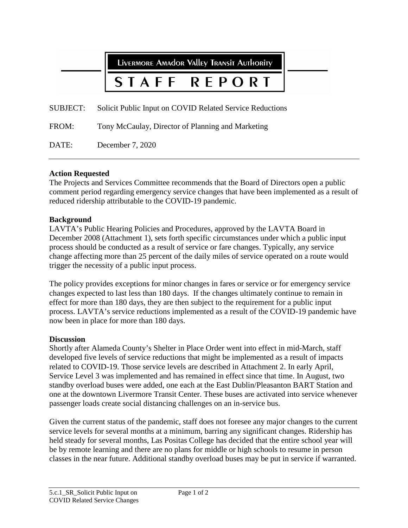**LIVERMORE AMADOR VALLEY TRANSIT AUTHORITY** 

### STAFF **RFPORT**

SUBJECT: Solicit Public Input on COVID Related Service Reductions

FROM: Tony McCaulay, Director of Planning and Marketing

DATE: December 7, 2020

# **Action Requested**

The Projects and Services Committee recommends that the Board of Directors open a public comment period regarding emergency service changes that have been implemented as a result of reduced ridership attributable to the COVID-19 pandemic.

# **Background**

LAVTA's Public Hearing Policies and Procedures, approved by the LAVTA Board in December 2008 (Attachment 1), sets forth specific circumstances under which a public input process should be conducted as a result of service or fare changes. Typically, any service change affecting more than 25 percent of the daily miles of service operated on a route would trigger the necessity of a public input process.

The policy provides exceptions for minor changes in fares or service or for emergency service changes expected to last less than 180 days. If the changes ultimately continue to remain in effect for more than 180 days, they are then subject to the requirement for a public input process. LAVTA's service reductions implemented as a result of the COVID-19 pandemic have now been in place for more than 180 days.

## **Discussion**

Shortly after Alameda County's Shelter in Place Order went into effect in mid-March, staff developed five levels of service reductions that might be implemented as a result of impacts related to COVID-19. Those service levels are described in Attachment 2. In early April, Service Level 3 was implemented and has remained in effect since that time. In August, two standby overload buses were added, one each at the East Dublin/Pleasanton BART Station and one at the downtown Livermore Transit Center. These buses are activated into service whenever passenger loads create social distancing challenges on an in-service bus.

Given the current status of the pandemic, staff does not foresee any major changes to the current service levels for several months at a minimum, barring any significant changes. Ridership has held steady for several months, Las Positas College has decided that the entire school year will be by remote learning and there are no plans for middle or high schools to resume in person classes in the near future. Additional standby overload buses may be put in service if warranted.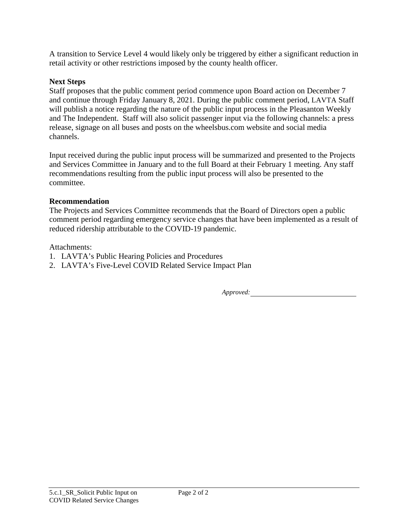A transition to Service Level 4 would likely only be triggered by either a significant reduction in retail activity or other restrictions imposed by the county health officer.

# **Next Steps**

Staff proposes that the public comment period commence upon Board action on December 7 and continue through Friday January 8, 2021. During the public comment period, LAVTA Staff will publish a notice regarding the nature of the public input process in the Pleasanton Weekly and The Independent. Staff will also solicit passenger input via the following channels: a press release, signage on all buses and posts on the wheelsbus.com website and social media channels.

Input received during the public input process will be summarized and presented to the Projects and Services Committee in January and to the full Board at their February 1 meeting. Any staff recommendations resulting from the public input process will also be presented to the committee.

# **Recommendation**

The Projects and Services Committee recommends that the Board of Directors open a public comment period regarding emergency service changes that have been implemented as a result of reduced ridership attributable to the COVID-19 pandemic.

Attachments:

- 1. LAVTA's Public Hearing Policies and Procedures
- 2. LAVTA's Five-Level COVID Related Service Impact Plan

*Approved:*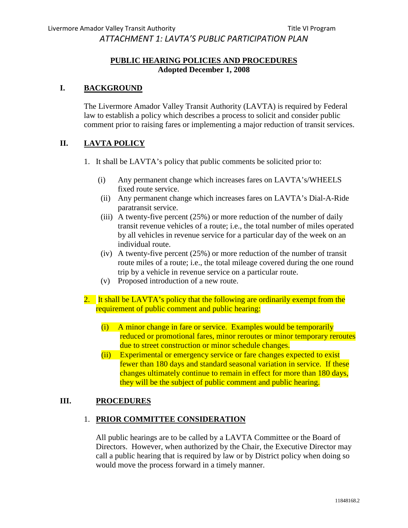*ATTACHMENT 1: LAVTA'S PUBLIC PARTICIPATION PLAN* 

## **PUBLIC HEARING POLICIES AND PROCEDURES Adopted December 1, 2008**

## **I. BACKGROUND**

The Livermore Amador Valley Transit Authority (LAVTA) is required by Federal law to establish a policy which describes a process to solicit and consider public comment prior to raising fares or implementing a major reduction of transit services.

## **II. LAVTA POLICY**

- 1. It shall be LAVTA's policy that public comments be solicited prior to:
	- (i) Any permanent change which increases fares on LAVTA's/WHEELS fixed route service.
	- (ii) Any permanent change which increases fares on LAVTA's Dial-A-Ride paratransit service.
	- (iii) A twenty-five percent (25%) or more reduction of the number of daily transit revenue vehicles of a route; i.e., the total number of miles operated by all vehicles in revenue service for a particular day of the week on an individual route.
	- (iv) A twenty-five percent (25%) or more reduction of the number of transit route miles of a route; i.e., the total mileage covered during the one round trip by a vehicle in revenue service on a particular route.
	- (v) Proposed introduction of a new route.
- 2. It shall be LAVTA's policy that the following are ordinarily exempt from the requirement of public comment and public hearing:
	- (i) A minor change in fare or service. Examples would be temporarily reduced or promotional fares, minor reroutes or minor temporary reroutes due to street construction or minor schedule changes.
	- (ii) Experimental or emergency service or fare changes expected to exist fewer than 180 days and standard seasonal variation in service. If these changes ultimately continue to remain in effect for more than 180 days, they will be the subject of public comment and public hearing.

## **III. PROCEDURES**

## 1. **PRIOR COMMITTEE CONSIDERATION**

All public hearings are to be called by a LAVTA Committee or the Board of Directors. However, when authorized by the Chair, the Executive Director may call a public hearing that is required by law or by District policy when doing so would move the process forward in a timely manner.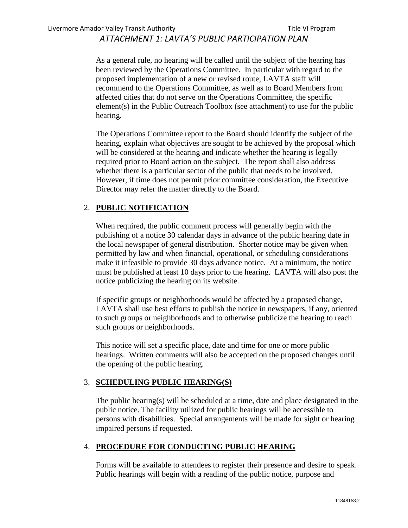# *ATTACHMENT 1: LAVTA'S PUBLIC PARTICIPATION PLAN*

As a general rule, no hearing will be called until the subject of the hearing has been reviewed by the Operations Committee. In particular with regard to the proposed implementation of a new or revised route, LAVTA staff will recommend to the Operations Committee, as well as to Board Members from affected cities that do not serve on the Operations Committee, the specific element(s) in the Public Outreach Toolbox (see attachment) to use for the public hearing.

The Operations Committee report to the Board should identify the subject of the hearing, explain what objectives are sought to be achieved by the proposal which will be considered at the hearing and indicate whether the hearing is legally required prior to Board action on the subject. The report shall also address whether there is a particular sector of the public that needs to be involved. However, if time does not permit prior committee consideration, the Executive Director may refer the matter directly to the Board.

## 2. **PUBLIC NOTIFICATION**

When required, the public comment process will generally begin with the publishing of a notice 30 calendar days in advance of the public hearing date in the local newspaper of general distribution. Shorter notice may be given when permitted by law and when financial, operational, or scheduling considerations make it infeasible to provide 30 days advance notice. At a minimum, the notice must be published at least 10 days prior to the hearing. LAVTA will also post the notice publicizing the hearing on its website.

If specific groups or neighborhoods would be affected by a proposed change, LAVTA shall use best efforts to publish the notice in newspapers, if any, oriented to such groups or neighborhoods and to otherwise publicize the hearing to reach such groups or neighborhoods.

This notice will set a specific place, date and time for one or more public hearings. Written comments will also be accepted on the proposed changes until the opening of the public hearing.

#### 3. **SCHEDULING PUBLIC HEARING(S)**

The public hearing(s) will be scheduled at a time, date and place designated in the public notice. The facility utilized for public hearings will be accessible to persons with disabilities. Special arrangements will be made for sight or hearing impaired persons if requested.

## 4. **PROCEDURE FOR CONDUCTING PUBLIC HEARING**

Forms will be available to attendees to register their presence and desire to speak. Public hearings will begin with a reading of the public notice, purpose and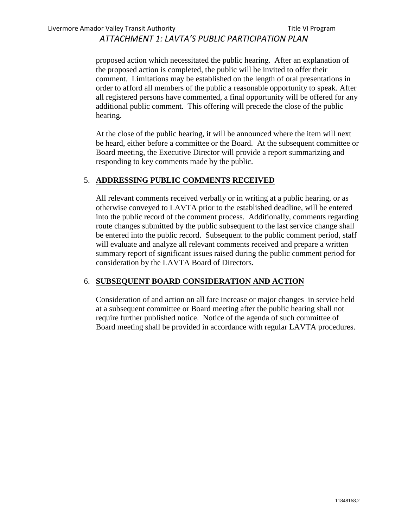# *ATTACHMENT 1: LAVTA'S PUBLIC PARTICIPATION PLAN*

proposed action which necessitated the public hearing. After an explanation of the proposed action is completed, the public will be invited to offer their comment. Limitations may be established on the length of oral presentations in order to afford all members of the public a reasonable opportunity to speak. After all registered persons have commented, a final opportunity will be offered for any additional public comment. This offering will precede the close of the public hearing.

At the close of the public hearing, it will be announced where the item will next be heard, either before a committee or the Board. At the subsequent committee or Board meeting, the Executive Director will provide a report summarizing and responding to key comments made by the public.

#### 5. **ADDRESSING PUBLIC COMMENTS RECEIVED**

All relevant comments received verbally or in writing at a public hearing, or as otherwise conveyed to LAVTA prior to the established deadline, will be entered into the public record of the comment process. Additionally, comments regarding route changes submitted by the public subsequent to the last service change shall be entered into the public record. Subsequent to the public comment period, staff will evaluate and analyze all relevant comments received and prepare a written summary report of significant issues raised during the public comment period for consideration by the LAVTA Board of Directors.

## 6. **SUBSEQUENT BOARD CONSIDERATION AND ACTION**

Consideration of and action on all fare increase or major changes in service held at a subsequent committee or Board meeting after the public hearing shall not require further published notice. Notice of the agenda of such committee of Board meeting shall be provided in accordance with regular LAVTA procedures.